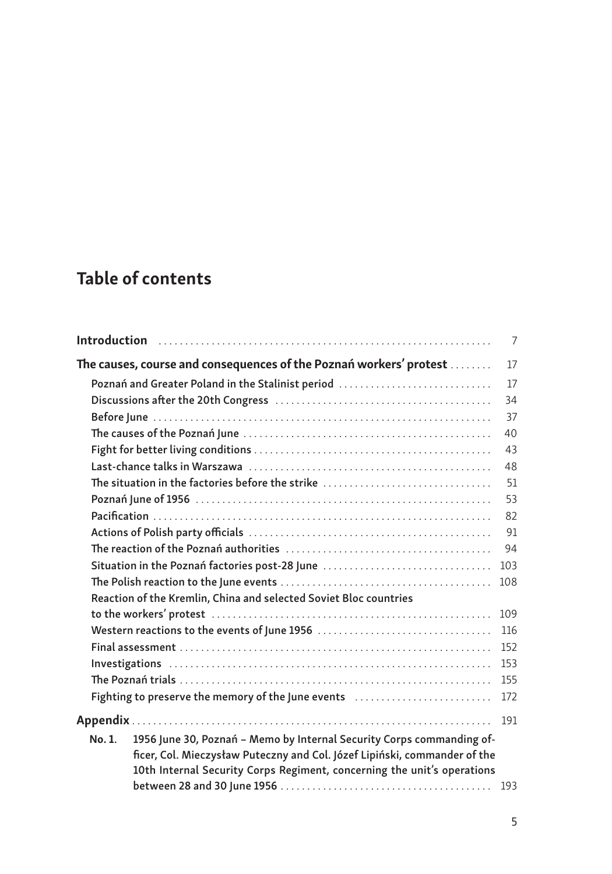## Table of contents

|                                                |                                                                                                                                                                                                                                                                                                                                                                                                                                            | 7   |
|------------------------------------------------|--------------------------------------------------------------------------------------------------------------------------------------------------------------------------------------------------------------------------------------------------------------------------------------------------------------------------------------------------------------------------------------------------------------------------------------------|-----|
|                                                | The causes, course and consequences of the Poznań workers' protest                                                                                                                                                                                                                                                                                                                                                                         | 17  |
|                                                | Poznań and Greater Poland in the Stalinist period                                                                                                                                                                                                                                                                                                                                                                                          | 17  |
|                                                |                                                                                                                                                                                                                                                                                                                                                                                                                                            | 34  |
|                                                |                                                                                                                                                                                                                                                                                                                                                                                                                                            | 37  |
|                                                |                                                                                                                                                                                                                                                                                                                                                                                                                                            | 40  |
|                                                |                                                                                                                                                                                                                                                                                                                                                                                                                                            | 43  |
|                                                |                                                                                                                                                                                                                                                                                                                                                                                                                                            | 48  |
|                                                | The situation in the factories before the strike                                                                                                                                                                                                                                                                                                                                                                                           | 51  |
|                                                |                                                                                                                                                                                                                                                                                                                                                                                                                                            | 53  |
|                                                |                                                                                                                                                                                                                                                                                                                                                                                                                                            | 82  |
|                                                |                                                                                                                                                                                                                                                                                                                                                                                                                                            | 91  |
|                                                |                                                                                                                                                                                                                                                                                                                                                                                                                                            | 94  |
| Situation in the Poznań factories post-28 June |                                                                                                                                                                                                                                                                                                                                                                                                                                            | 103 |
|                                                |                                                                                                                                                                                                                                                                                                                                                                                                                                            | 108 |
|                                                | Reaction of the Kremlin, China and selected Soviet Bloc countries                                                                                                                                                                                                                                                                                                                                                                          |     |
|                                                |                                                                                                                                                                                                                                                                                                                                                                                                                                            | 109 |
| Western reactions to the events of June 1956   |                                                                                                                                                                                                                                                                                                                                                                                                                                            | 116 |
|                                                | $Final assessment \label{def:sm} \centering \textbf{Final assessment} \textbf{1} \textbf{1} \textbf{2} \textbf{3} \textbf{4} \textbf{5} \textbf{6} \textbf{6} \textbf{7} \textbf{8} \textbf{8} \textbf{9} \textbf{10} \textbf{10} \textbf{11} \textbf{12} \textbf{13} \textbf{13} \textbf{14} \textbf{15} \textbf{16} \textbf{17} \textbf{18} \textbf{18} \textbf{19} \textbf{19} \textbf{19} \textbf{19} \textbf{19} \textbf{19} \textbf$ |     |
|                                                |                                                                                                                                                                                                                                                                                                                                                                                                                                            |     |
|                                                |                                                                                                                                                                                                                                                                                                                                                                                                                                            | 155 |
|                                                | Fighting to preserve the memory of the June events                                                                                                                                                                                                                                                                                                                                                                                         | 172 |
|                                                |                                                                                                                                                                                                                                                                                                                                                                                                                                            | 191 |
| No. 1.                                         | 1956 June 30, Poznań - Memo by Internal Security Corps commanding of-                                                                                                                                                                                                                                                                                                                                                                      |     |
|                                                | ficer, Col. Mieczysław Puteczny and Col. Józef Lipiński, commander of the                                                                                                                                                                                                                                                                                                                                                                  |     |
|                                                | 10th Internal Security Corps Regiment, concerning the unit's operations                                                                                                                                                                                                                                                                                                                                                                    |     |
|                                                |                                                                                                                                                                                                                                                                                                                                                                                                                                            | 193 |